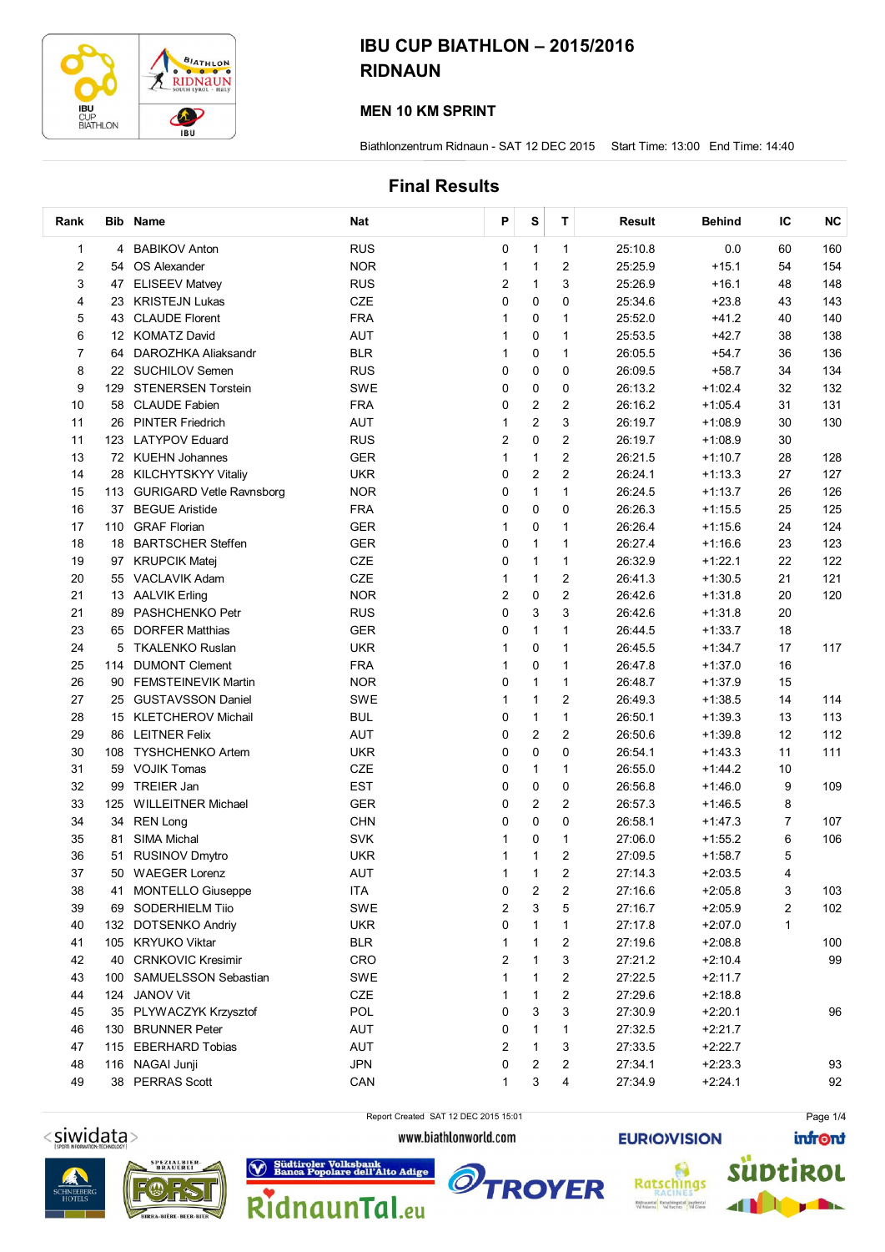

#### MEN 10 KM SPRINT

Biathlonzentrum Ridnaun - SAT 12 DEC 2015 Start Time: 13:00 End Time: 14:40

### Final Results

| Rank                    |     | <b>Bib Name</b>              | <b>Nat</b> | Ρ              | s                       | т                       | Result  | <b>Behind</b> | IС             | <b>NC</b> |
|-------------------------|-----|------------------------------|------------|----------------|-------------------------|-------------------------|---------|---------------|----------------|-----------|
| 1                       |     | 4 BABIKOV Anton              | <b>RUS</b> | 0              | $\mathbf{1}$            | $\mathbf{1}$            | 25:10.8 | 0.0           | 60             | 160       |
| $\overline{\mathbf{c}}$ | 54  | OS Alexander                 | <b>NOR</b> | 1              | $\mathbf{1}$            | 2                       | 25:25.9 | $+15.1$       | 54             | 154       |
| 3                       |     | 47 ELISEEV Matvey            | <b>RUS</b> | 2              | $\mathbf{1}$            | 3                       | 25:26.9 | $+16.1$       | 48             | 148       |
| 4                       |     | 23 KRISTEJN Lukas            | CZE        | 0              | 0                       | 0                       | 25:34.6 | $+23.8$       | 43             | 143       |
| 5                       |     | 43 CLAUDE Florent            | <b>FRA</b> | 1              | 0                       | 1                       | 25:52.0 | $+41.2$       | 40             | 140       |
| 6                       |     | 12 KOMATZ David              | AUT        | 1              | 0                       | 1                       | 25:53.5 | $+42.7$       | 38             | 138       |
| $\overline{7}$          | 64  | DAROZHKA Aliaksandr          | <b>BLR</b> | 1              | 0                       | $\mathbf{1}$            | 26:05.5 | $+54.7$       | 36             | 136       |
| 8                       |     | 22 SUCHILOV Semen            | <b>RUS</b> | 0              | 0                       | 0                       | 26:09.5 | $+58.7$       | 34             | 134       |
| 9                       | 129 | <b>STENERSEN Torstein</b>    | <b>SWE</b> | 0              | 0                       | 0                       | 26:13.2 | $+1:02.4$     | 32             | 132       |
| 10                      | 58  | <b>CLAUDE Fabien</b>         | <b>FRA</b> | 0              | $\overline{\mathbf{c}}$ | 2                       | 26:16.2 | $+1:05.4$     | 31             | 131       |
| 11                      |     | 26 PINTER Friedrich          | <b>AUT</b> | 1              | $\overline{2}$          | 3                       | 26:19.7 | $+1:08.9$     | 30             | 130       |
| 11                      | 123 | <b>LATYPOV Eduard</b>        | <b>RUS</b> | $\overline{c}$ | 0                       | $\overline{c}$          | 26:19.7 | $+1:08.9$     | 30             |           |
| 13                      |     | 72 KUEHN Johannes            | <b>GER</b> | 1              | $\mathbf{1}$            | $\overline{c}$          | 26:21.5 | $+1:10.7$     | 28             | 128       |
| 14                      |     | 28 KILCHYTSKYY Vitaliy       | <b>UKR</b> | 0              | $\overline{\mathbf{c}}$ | $\overline{c}$          | 26:24.1 | $+1:13.3$     | 27             | 127       |
| 15                      |     | 113 GURIGARD Vetle Ravnsborg | <b>NOR</b> | 0              | 1                       | 1                       | 26:24.5 | $+1:13.7$     | 26             | 126       |
| 16                      | 37  | <b>BEGUE Aristide</b>        | <b>FRA</b> | 0              | 0                       | 0                       | 26:26.3 | $+1:15.5$     | 25             | 125       |
| 17                      |     | 110 GRAF Florian             | <b>GER</b> | 1              | 0                       | 1                       | 26:26.4 | $+1:15.6$     | 24             | 124       |
| 18                      |     | 18 BARTSCHER Steffen         | <b>GER</b> | 0              | 1                       | $\mathbf{1}$            | 26:27.4 | $+1:16.6$     | 23             | 123       |
| 19                      |     | 97 KRUPCIK Matei             | CZE        | 0              | $\mathbf{1}$            | 1                       | 26:32.9 | $+1:22.1$     | 22             | 122       |
| 20                      |     | 55 VACLAVIK Adam             | CZE        | 1              | $\mathbf{1}$            | $\overline{\mathbf{c}}$ | 26:41.3 | $+1:30.5$     | 21             | 121       |
| 21                      |     | 13 AALVIK Erling             | <b>NOR</b> | 2              | 0                       | $\overline{\mathbf{c}}$ | 26:42.6 | $+1:31.8$     | 20             | 120       |
| 21                      | 89  | PASHCHENKO Petr              | <b>RUS</b> | 0              | 3                       | 3                       | 26:42.6 | $+1:31.8$     | 20             |           |
| 23                      | 65  | <b>DORFER Matthias</b>       | <b>GER</b> | 0              | 1                       | 1                       | 26:44.5 | $+1:33.7$     | 18             |           |
| 24                      |     | 5 TKALENKO Ruslan            | <b>UKR</b> | 1              | 0                       | 1                       | 26:45.5 | $+1:34.7$     | 17             | 117       |
| 25                      | 114 | <b>DUMONT Clement</b>        | <b>FRA</b> | 1              | 0                       | 1                       | 26:47.8 | $+1:37.0$     | 16             |           |
| 26                      |     | 90 FEMSTEINEVIK Martin       | <b>NOR</b> | 0              | $\mathbf{1}$            | 1                       | 26:48.7 | $+1:37.9$     | 15             |           |
| 27                      |     | 25 GUSTAVSSON Daniel         | <b>SWE</b> | 1              | $\mathbf{1}$            | 2                       | 26:49.3 | $+1:38.5$     | 14             | 114       |
| 28                      |     | 15 KLETCHEROV Michail        | <b>BUL</b> | 0              | $\mathbf{1}$            | 1                       | 26:50.1 | $+1:39.3$     | 13             | 113       |
| 29                      |     | 86 LEITNER Felix             | AUT        | 0              | $\overline{c}$          | 2                       | 26:50.6 | $+1:39.8$     | 12             | 112       |
| 30                      | 108 | <b>TYSHCHENKO Artem</b>      | <b>UKR</b> | 0              | 0                       | 0                       | 26:54.1 | $+1:43.3$     | 11             | 111       |
| 31                      |     | 59 VOJIK Tomas               | CZE        | 0              | 1                       | 1                       | 26:55.0 | $+1:44.2$     | 10             |           |
| 32                      |     | 99 TREIER Jan                | <b>EST</b> | 0              | 0                       | 0                       | 26:56.8 | $+1:46.0$     | 9              | 109       |
| 33                      | 125 | <b>WILLEITNER Michael</b>    | GER        | 0              | 2                       | 2                       | 26:57.3 | $+1:46.5$     | 8              |           |
| 34                      | 34  | <b>REN Long</b>              | <b>CHN</b> | 0              | 0                       | 0                       | 26:58.1 | $+1:47.3$     | $\overline{7}$ | 107       |
| 35                      | 81  | <b>SIMA Michal</b>           | <b>SVK</b> | 1              | 0                       | 1                       | 27:06.0 | $+1:55.2$     | 6              | 106       |
| 36                      |     | 51 RUSINOV Dmytro            | <b>UKR</b> | 1              | 1                       | $\overline{c}$          | 27:09.5 | $+1:58.7$     | 5              |           |
| 37                      | 50  | <b>WAEGER Lorenz</b>         | AUT        | 1              | 1                       | 2                       | 27:14.3 | $+2:03.5$     | 4              |           |
| 38                      | 41  | <b>MONTELLO Giuseppe</b>     | <b>ITA</b> | 0              | 2                       | 2                       | 27:16.6 | $+2:05.8$     | 3              | 103       |
| 39                      |     | 69 SODERHIELM Tiio           | SWE        | 2              | 3                       | 5                       | 27:16.7 | $+2:05.9$     | 2              | 102       |
| 40                      |     | 132 DOTSENKO Andriv          | <b>UKR</b> | 0              | 1                       | 1                       | 27:17.8 | $+2:07.0$     | 1              |           |
| 41                      |     | 105 KRYUKO Viktar            | <b>BLR</b> | 1              | 1                       | 2                       | 27:19.6 | $+2:08.8$     |                | 100       |
| 42                      |     | 40 CRNKOVIC Kresimir         | CRO        | 2              | 1                       | 3                       | 27:21.2 | $+2:10.4$     |                | 99        |
| 43                      |     | 100 SAMUELSSON Sebastian     | <b>SWE</b> | 1              | 1                       | 2                       | 27:22.5 | $+2:11.7$     |                |           |
| 44                      |     | 124 JANOV Vit                | CZE        | 1              | 1                       | 2                       | 27:29.6 | $+2:18.8$     |                |           |
| 45                      |     | 35 PLYWACZYK Krzysztof       | POL        | 0              | 3                       | 3                       | 27:30.9 | $+2:20.1$     |                | 96        |
| 46                      |     | 130 BRUNNER Peter            | AUT        | 0              | 1                       | 1                       | 27:32.5 | $+2:21.7$     |                |           |
| 47                      |     | 115 EBERHARD Tobias          | AUT        | 2              | 1                       | 3                       | 27:33.5 | $+2:22.7$     |                |           |
| 48                      |     | 116 NAGAI Junji              | <b>JPN</b> | 0              | 2                       | 2                       | 27:34.1 | $+2:23.3$     |                | 93        |
| 49                      |     | 38 PERRAS Scott              | CAN        | 1              | 3                       | 4                       | 27:34.9 | $+2:24.1$     |                | 92        |







RidnaunTal.eu



Report Created SAT 12 DEC 2015 15:01

www.biathlonworld.com





Page 1/4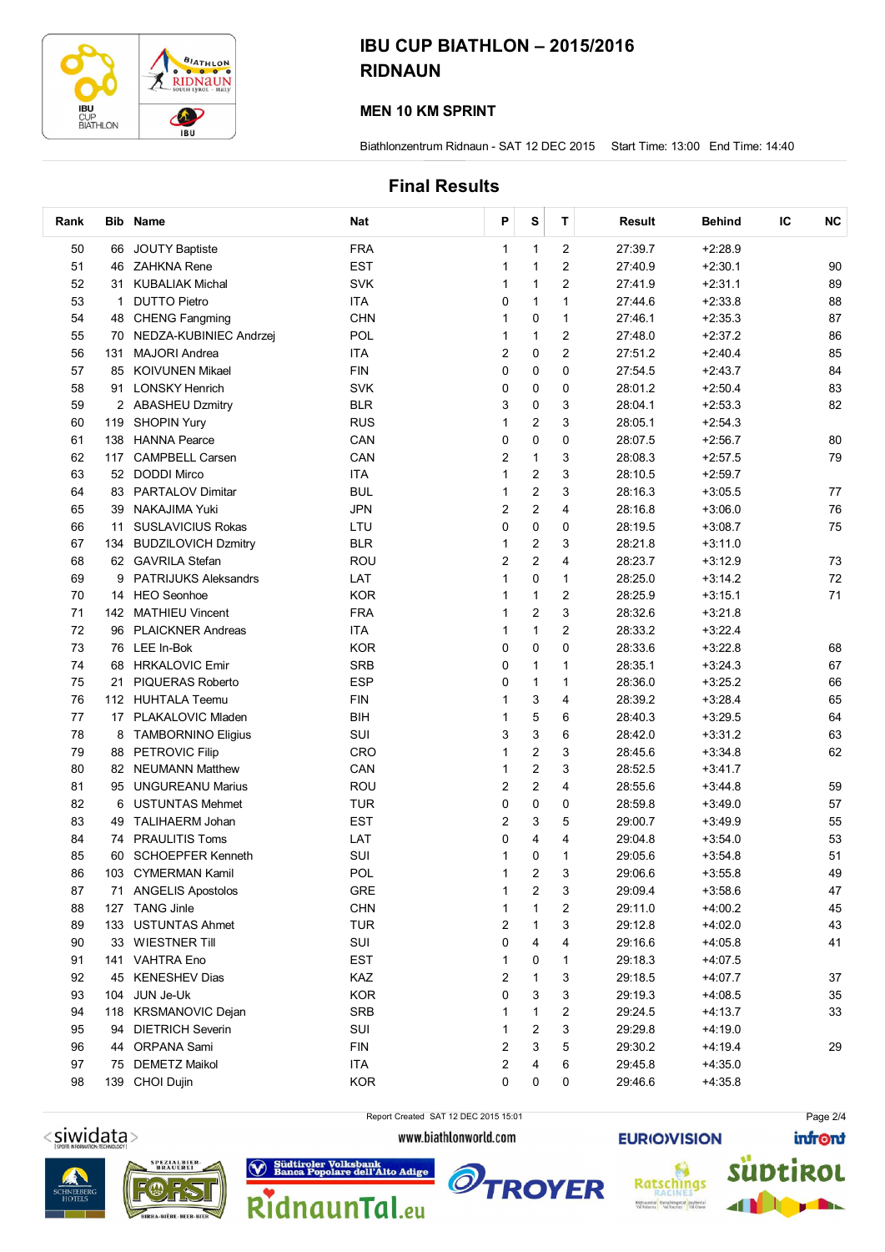

#### MEN 10 KM SPRINT

Biathlonzentrum Ridnaun - SAT 12 DEC 2015 Start Time: 13:00 End Time: 14:40

### Final Results

| Rank |              | <b>Bib Name</b>             | Nat        | P              | S                       | T              | Result  | <b>Behind</b> | IС | NC |
|------|--------------|-----------------------------|------------|----------------|-------------------------|----------------|---------|---------------|----|----|
| 50   |              | 66 JOUTY Baptiste           | <b>FRA</b> | 1              | $\mathbf 1$             | $\overline{2}$ | 27:39.7 | $+2:28.9$     |    |    |
| 51   | 46           | ZAHKNA Rene                 | <b>EST</b> | 1              | 1                       | $\overline{2}$ | 27:40.9 | $+2:30.1$     |    | 90 |
| 52   |              | 31 KUBALIAK Michal          | <b>SVK</b> | 1              | 1                       | 2              | 27:41.9 | $+2:31.1$     |    | 89 |
| 53   | $\mathbf{1}$ | <b>DUTTO Pietro</b>         | <b>ITA</b> | 0              | 1                       | 1              | 27:44.6 | $+2:33.8$     |    | 88 |
| 54   | 48           | <b>CHENG Fangming</b>       | <b>CHN</b> | 1              | 0                       | 1              | 27:46.1 | $+2:35.3$     |    | 87 |
| 55   | 70           | NEDZA-KUBINIEC Andrzej      | POL        | 1              | 1                       | $\overline{2}$ | 27:48.0 | $+2:37.2$     |    | 86 |
| 56   |              | 131 MAJORI Andrea           | <b>ITA</b> | 2              | 0                       | $\overline{2}$ | 27:51.2 | $+2:40.4$     |    | 85 |
| 57   |              | 85 KOIVUNEN Mikael          | <b>FIN</b> | 0              | 0                       | 0              | 27:54.5 | $+2:43.7$     |    | 84 |
| 58   | 91           | <b>LONSKY Henrich</b>       | <b>SVK</b> | 0              | 0                       | 0              | 28:01.2 | $+2:50.4$     |    | 83 |
| 59   |              | 2 ABASHEU Dzmitry           | <b>BLR</b> | 3              | 0                       | 3              | 28:04.1 | $+2:53.3$     |    | 82 |
| 60   | 119          | <b>SHOPIN Yury</b>          | <b>RUS</b> | 1              | $\overline{c}$          | 3              | 28:05.1 | $+2:54.3$     |    |    |
| 61   | 138          | <b>HANNA Pearce</b>         | CAN        | 0              | 0                       | 0              | 28:07.5 | $+2:56.7$     |    | 80 |
| 62   | 117          | <b>CAMPBELL Carsen</b>      | CAN        | 2              | 1                       | 3              | 28:08.3 | $+2:57.5$     |    | 79 |
| 63   |              | 52 DODDI Mirco              | <b>ITA</b> | 1              | $\overline{c}$          | 3              | 28:10.5 | $+2:59.7$     |    |    |
| 64   | 83           | <b>PARTALOV Dimitar</b>     | <b>BUL</b> | 1              | 2                       | 3              | 28:16.3 | $+3:05.5$     |    | 77 |
| 65   | 39           | NAKAJIMA Yuki               | <b>JPN</b> | 2              | 2                       | 4              | 28:16.8 | $+3:06.0$     |    | 76 |
| 66   | 11           | <b>SUSLAVICIUS Rokas</b>    | LTU        | 0              | 0                       | 0              | 28:19.5 | $+3:08.7$     |    | 75 |
| 67   | 134          | <b>BUDZILOVICH Dzmitry</b>  | <b>BLR</b> | 1              | $\overline{\mathbf{c}}$ | 3              | 28:21.8 | $+3:11.0$     |    |    |
| 68   |              | 62 GAVRILA Stefan           | ROU        | $\overline{2}$ | $\overline{2}$          | 4              | 28:23.7 | $+3:12.9$     |    | 73 |
| 69   | 9            | <b>PATRIJUKS Aleksandrs</b> | LAT        | 1              | 0                       | 1              | 28:25.0 | $+3:14.2$     |    | 72 |
| 70   |              | 14 HEO Seonhoe              | <b>KOR</b> | 1              | 1                       | $\overline{2}$ | 28:25.9 | $+3:15.1$     |    | 71 |
| 71   |              | 142 MATHIEU Vincent         | <b>FRA</b> | 1              | $\overline{\mathbf{c}}$ | 3              | 28:32.6 | $+3:21.8$     |    |    |
| 72   | 96           | <b>PLAICKNER Andreas</b>    | <b>ITA</b> | 1              | 1                       | 2              | 28:33.2 | $+3:22.4$     |    |    |
| 73   |              | 76 LEE In-Bok               | <b>KOR</b> | 0              | 0                       | 0              | 28:33.6 | $+3:22.8$     |    | 68 |
| 74   | 68           | <b>HRKALOVIC Emir</b>       | <b>SRB</b> | 0              | $\mathbf{1}$            | 1              | 28:35.1 | $+3:24.3$     |    | 67 |
| 75   | 21           | <b>PIQUERAS Roberto</b>     | <b>ESP</b> | 0              | $\mathbf 1$             | 1              | 28:36.0 | $+3:25.2$     |    | 66 |
| 76   |              | 112 HUHTALA Teemu           | <b>FIN</b> | 1              | 3                       | 4              | 28:39.2 | $+3:28.4$     |    | 65 |
| 77   |              | 17 PLAKALOVIC Mladen        | BIH        | 1              | 5                       | 6              | 28:40.3 | $+3:29.5$     |    | 64 |
| 78   | 8            | <b>TAMBORNINO Eligius</b>   | SUI        | 3              | 3                       | 6              | 28:42.0 | $+3:31.2$     |    | 63 |
| 79   | 88           | <b>PETROVIC Filip</b>       | CRO        | 1              | $\overline{2}$          | 3              | 28:45.6 | $+3:34.8$     |    | 62 |
| 80   |              | 82 NEUMANN Matthew          | CAN        | 1              | $\overline{\mathbf{c}}$ | 3              | 28:52.5 | $+3:41.7$     |    |    |
| 81   | 95           | <b>UNGUREANU Marius</b>     | ROU        | 2              | 2                       | 4              | 28:55.6 | $+3:44.8$     |    | 59 |
| 82   | 6            | <b>USTUNTAS Mehmet</b>      | <b>TUR</b> | 0              | 0                       | 0              | 28:59.8 | $+3:49.0$     |    | 57 |
| 83   | 49           | TALIHAERM Johan             | <b>EST</b> | 2              | 3                       | 5              | 29:00.7 | $+3:49.9$     |    | 55 |
| 84   | 74           | <b>PRAULITIS Toms</b>       | LAT        | 0              | 4                       | 4              | 29:04.8 | $+3:54.0$     |    | 53 |
| 85   |              | 60 SCHOEPFER Kenneth        | SUI        | 1              | 0                       | 1              | 29:05.6 | $+3:54.8$     |    | 51 |
| 86   | 103          | <b>CYMERMAN Kamil</b>       | POL        |                | 2                       | 3              | 29:06.6 | $+3:55.8$     |    | 49 |
| 87   |              | 71 ANGELIS Apostolos        | GRE        | 1              | $\overline{2}$          | 3              | 29:09.4 | $+3:58.6$     |    | 47 |
| 88   |              | 127 TANG Jinle              | <b>CHN</b> | 1              | 1                       | 2              | 29:11.0 | $+4:00.2$     |    | 45 |
| 89   |              | 133 USTUNTAS Ahmet          | <b>TUR</b> | 2              | 1                       | 3              | 29:12.8 | $+4:02.0$     |    | 43 |
| 90   |              | 33 WIESTNER Till            | SUI        | 0              | 4                       | 4              | 29:16.6 | $+4:05.8$     |    | 41 |
| 91   |              | 141 VAHTRA Eno              | <b>EST</b> | 1              | 0                       | 1              | 29:18.3 | +4:07.5       |    |    |
| 92   |              | 45 KENESHEV Dias            | KAZ        | 2              | 1                       | 3              | 29:18.5 | $+4:07.7$     |    | 37 |
| 93   | 104          | JUN Je-Uk                   | <b>KOR</b> | 0              | 3                       | 3              | 29:19.3 | $+4:08.5$     |    | 35 |
| 94   |              | 118 KRSMANOVIC Dejan        | <b>SRB</b> | 1              | 1                       | 2              | 29:24.5 | $+4:13.7$     |    | 33 |
| 95   | 94           | <b>DIETRICH Severin</b>     | SUI        | 1              | 2                       | 3              | 29:29.8 | $+4:19.0$     |    |    |
| 96   |              | 44 ORPANA Sami              | <b>FIN</b> | 2              | 3                       | 5              | 29:30.2 | $+4:19.4$     |    | 29 |
| 97   |              | 75 DEMETZ Maikol            | <b>ITA</b> | 2              | 4                       | 6              | 29:45.8 | +4:35.0       |    |    |
| 98   |              | 139 CHOI Dujin              | <b>KOR</b> | 0              | 0                       | 0              | 29:46.6 | $+4:35.8$     |    |    |









Report Created SAT 12 DEC 2015 15:01

www.biathlonworld.com





Page 2/4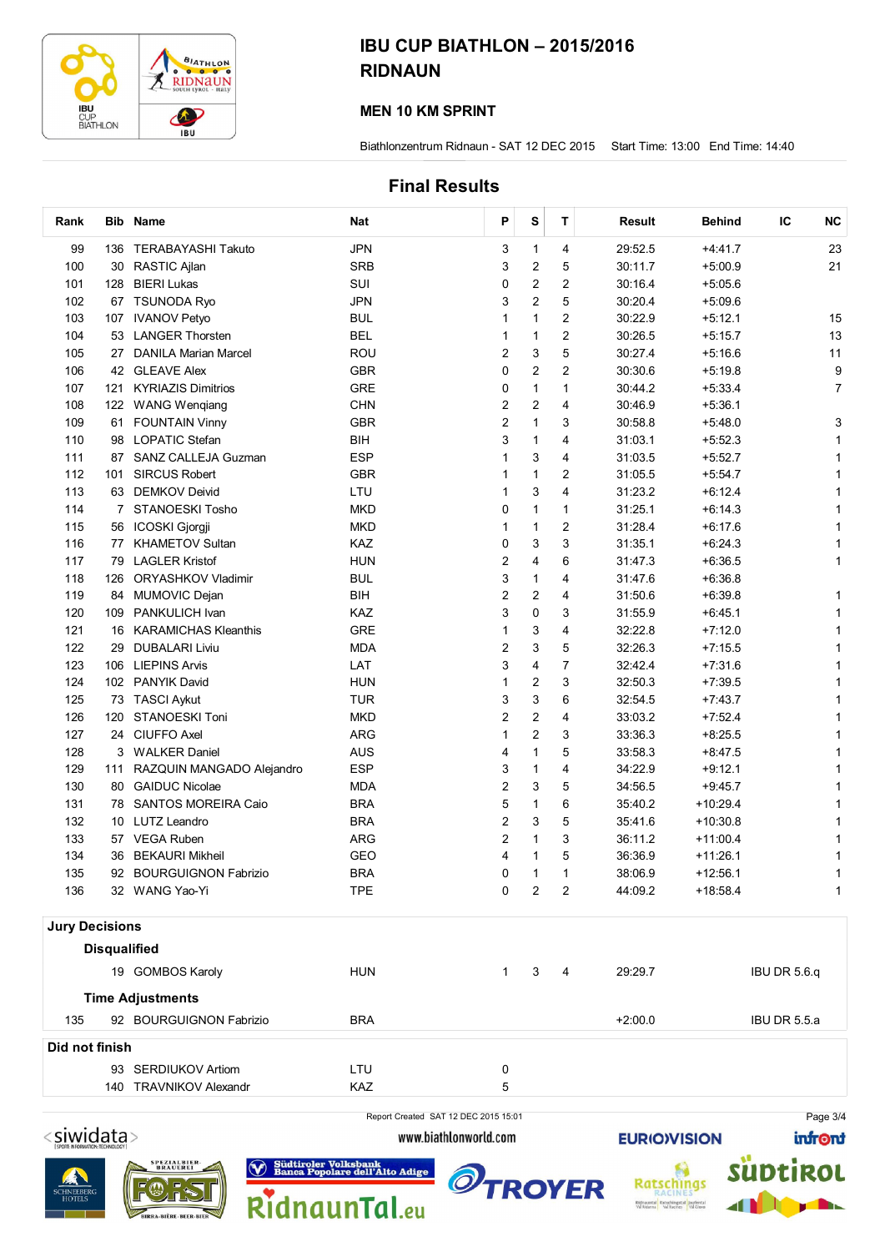

#### MEN 10 KM SPRINT

Biathlonzentrum Ridnaun - SAT 12 DEC 2015 Start Time: 13:00 End Time: 14:40

### Final Results

| Rank                  |                     | Bib Name                  | <b>Nat</b> | P              | S              | т              | Result    | <b>Behind</b> | NC<br>IС     |
|-----------------------|---------------------|---------------------------|------------|----------------|----------------|----------------|-----------|---------------|--------------|
| 99                    |                     | 136 TERABAYASHI Takuto    | <b>JPN</b> | 3              | 1              | 4              | 29:52.5   | $+4:41.7$     | 23           |
| 100                   |                     | 30 RASTIC Ajlan           | <b>SRB</b> | 3              | 2              | 5              | 30:11.7   | $+5:00.9$     | 21           |
| 101                   | 128                 | <b>BIERI Lukas</b>        | SUI        | 0              | 2              | 2              | 30:16.4   | $+5:05.6$     |              |
| 102                   |                     | 67 TSUNODA Ryo            | <b>JPN</b> | 3              | $\overline{2}$ | 5              | 30:20.4   | $+5:09.6$     |              |
| 103                   |                     | 107 IVANOV Petyo          | <b>BUL</b> | 1              | $\mathbf{1}$   | 2              | 30:22.9   | $+5:12.1$     | 15           |
| 104                   |                     | 53 LANGER Thorsten        | <b>BEL</b> | 1              | $\mathbf{1}$   | $\overline{c}$ | 30:26.5   | $+5:15.7$     | 13           |
| 105                   |                     | 27 DANILA Marian Marcel   | <b>ROU</b> | 2              | 3              | 5              | 30:27.4   | $+5:16.6$     | 11           |
| 106                   |                     | 42 GLEAVE Alex            | <b>GBR</b> | 0              | 2              | 2              | 30:30.6   | $+5:19.8$     | 9            |
| 107                   | 121                 | <b>KYRIAZIS Dimitrios</b> | <b>GRE</b> | 0              | $\mathbf{1}$   | $\mathbf{1}$   | 30:44.2   | $+5:33.4$     | 7            |
| 108                   |                     | 122 WANG Wenqiang         | <b>CHN</b> | 2              | 2              | 4              | 30:46.9   | $+5:36.1$     |              |
| 109                   | 61                  | <b>FOUNTAIN Vinny</b>     | <b>GBR</b> | 2              | $\mathbf{1}$   | 3              | 30:58.8   | $+5:48.0$     | 3            |
| 110                   |                     | 98 LOPATIC Stefan         | <b>BIH</b> | 3              | 1              | 4              | 31:03.1   | $+5:52.3$     | 1            |
| 111                   | 87                  | SANZ CALLEJA Guzman       | <b>ESP</b> | 1              | 3              | 4              | 31:03.5   | $+5:52.7$     | 1            |
| 112                   | 101                 | <b>SIRCUS Robert</b>      | <b>GBR</b> | 1              | $\mathbf{1}$   | 2              | 31:05.5   | $+5:54.7$     | 1            |
| 113                   |                     | 63 DEMKOV Deivid          | LTU        | 1              | 3              | 4              | 31:23.2   | $+6:12.4$     | 1            |
| 114                   |                     | 7 STANOESKI Tosho         | <b>MKD</b> | 0              | 1              | 1              | 31:25.1   | $+6:14.3$     | 1            |
| 115                   | 56                  | ICOSKI Gjorgji            | <b>MKD</b> | 1              | 1              | 2              | 31:28.4   | $+6:17.6$     | 1            |
| 116                   | 77                  | <b>KHAMETOV Sultan</b>    | KAZ        | 0              | 3              | 3              | 31:35.1   | $+6:24.3$     | 1            |
| 117                   | 79                  | <b>LAGLER Kristof</b>     | <b>HUN</b> | 2              | 4              | 6              | 31:47.3   | $+6:36.5$     | 1            |
| 118                   | 126                 | ORYASHKOV Vladimir        | <b>BUL</b> | 3              | 1              | 4              | 31:47.6   | $+6:36.8$     |              |
| 119                   |                     | 84 MUMOVIC Dejan          | <b>BIH</b> | $\overline{c}$ | 2              | 4              | 31:50.6   | $+6:39.8$     |              |
| 120                   |                     | 109 PANKULICH Ivan        | KAZ        | 3              | 0              | 3              | 31:55.9   | $+6:45.1$     |              |
| 121                   |                     | 16 KARAMICHAS Kleanthis   | <b>GRE</b> | 1              | 3              | 4              | 32:22.8   | $+7:12.0$     | 1            |
| 122                   |                     | 29 DUBALARI Liviu         | <b>MDA</b> | 2              | 3              | 5              | 32:26.3   | $+7:15.5$     | 1            |
| 123                   |                     | 106 LIEPINS Arvis         | LAT        | 3              | 4              | 7              | 32:42.4   | $+7:31.6$     | 1            |
| 124                   |                     | 102 PANYIK David          | <b>HUN</b> | 1              | 2              | 3              | 32:50.3   | $+7:39.5$     | 1            |
| 125                   |                     | 73 TASCI Aykut            | <b>TUR</b> | 3              | 3              | 6              | 32:54.5   | $+7:43.7$     | 1            |
| 126                   | 120                 | <b>STANOESKI Toni</b>     | <b>MKD</b> | 2              | 2              | 4              | 33:03.2   | $+7:52.4$     | 1            |
| 127                   |                     | 24 CIUFFO Axel            | <b>ARG</b> | 1              | 2              | 3              | 33:36.3   | $+8:25.5$     | 1            |
| 128                   |                     | 3 WALKER Daniel           | AUS        | 4              | 1              | 5              | 33:58.3   | $+8:47.5$     | 1            |
| 129                   | 111                 | RAZQUIN MANGADO Alejandro | <b>ESP</b> | 3              | 1              | 4              | 34:22.9   | $+9:12.1$     | 1            |
| 130                   |                     | 80 GAIDUC Nicolae         | <b>MDA</b> | 2              | 3              | 5              | 34:56.5   | $+9:45.7$     |              |
| 131                   |                     | 78 SANTOS MOREIRA Caio    | <b>BRA</b> | 5              | 1              | 6              | 35:40.2   | $+10:29.4$    |              |
| 132                   |                     | 10 LUTZ Leandro           | <b>BRA</b> | 2              | 3              | 5              | 35:41.6   | $+10:30.8$    |              |
| 133                   |                     | 57 VEGA Ruben             | <b>ARG</b> | 2              | 1              | 3              | 36:11.2   | $+11:00.4$    | 1            |
| 134                   |                     | 36 BEKAURI Mikheil        | GEO        | 4              | $\mathbf{1}$   | 5              | 36:36.9   | $+11:26.1$    | 1            |
| 135                   |                     | 92 BOURGUIGNON Fabrizio   | <b>BRA</b> | 0              | 1              | 1              | 38:06.9   | +12:56.1      | 1            |
| 136                   |                     | 32 WANG Yao-Yi            | <b>TPE</b> | 0              | $\overline{2}$ | 2              | 44:09.2   | $+18:58.4$    | 1            |
|                       |                     |                           |            |                |                |                |           |               |              |
| <b>Jury Decisions</b> |                     |                           |            |                |                |                |           |               |              |
|                       | <b>Disqualified</b> |                           |            |                |                |                |           |               |              |
|                       |                     | 19 GOMBOS Karoly          | <b>HUN</b> | $\mathbf{1}$   | 3              | 4              | 29:29.7   |               | IBU DR 5.6.q |
|                       |                     | <b>Time Adjustments</b>   |            |                |                |                |           |               |              |
| 135                   |                     | 92 BOURGUIGNON Fabrizio   | <b>BRA</b> |                |                |                | $+2:00.0$ |               | IBU DR 5.5.a |
| Did not finish        |                     |                           |            |                |                |                |           |               |              |
|                       |                     | 93 SERDIUKOV Artiom       | LTU        | 0              |                |                |           |               |              |
|                       |                     | 140 TRAVNIKOV Alexandr    | KAZ        | 5              |                |                |           |               |              |
|                       |                     |                           |            |                |                |                |           |               |              |



Report Created SAT 12 DEC 2015 15:01

**EURIO)VISION** 

Page 3/4infront







www.biathlonworld.com